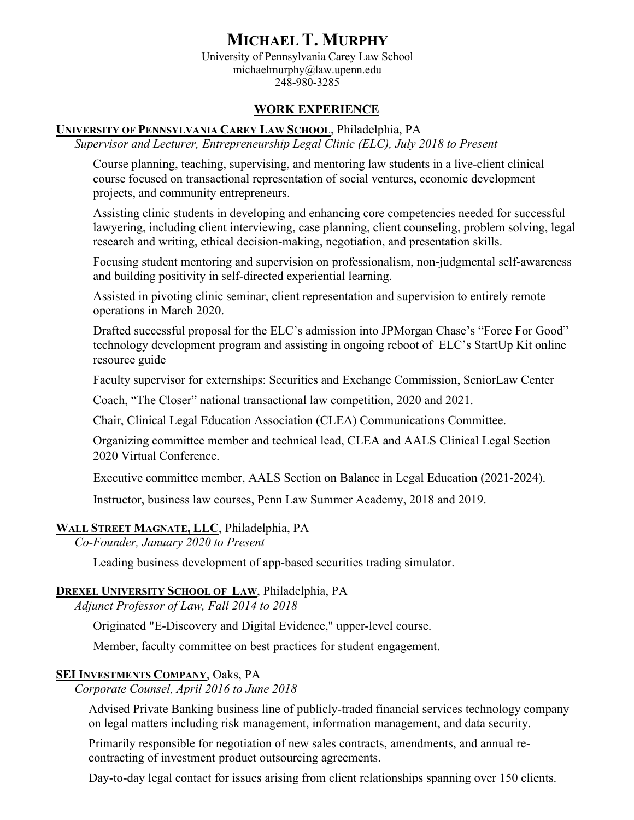University of Pennsylvania Carey Law School michaelmurphy@law.upenn.edu 248-980-3285

## **WORK EXPERIENCE**

#### **UNIVERSITY OF PENNSYLVANIA CAREY LAW SCHOOL**, Philadelphia, PA

*Supervisor and Lecturer, Entrepreneurship Legal Clinic (ELC), July 2018 to Present*

Course planning, teaching, supervising, and mentoring law students in a live-client clinical course focused on transactional representation of social ventures, economic development projects, and community entrepreneurs.

Assisting clinic students in developing and enhancing core competencies needed for successful lawyering, including client interviewing, case planning, client counseling, problem solving, legal research and writing, ethical decision-making, negotiation, and presentation skills.

Focusing student mentoring and supervision on professionalism, non-judgmental self-awareness and building positivity in self-directed experiential learning.

Assisted in pivoting clinic seminar, client representation and supervision to entirely remote operations in March 2020.

Drafted successful proposal for the ELC's admission into JPMorgan Chase's "Force For Good" technology development program and assisting in ongoing reboot of ELC's StartUp Kit online resource guide

Faculty supervisor for externships: Securities and Exchange Commission, SeniorLaw Center

Coach, "The Closer" national transactional law competition, 2020 and 2021.

Chair, Clinical Legal Education Association (CLEA) Communications Committee.

Organizing committee member and technical lead, CLEA and AALS Clinical Legal Section 2020 Virtual Conference.

Executive committee member, AALS Section on Balance in Legal Education (2021-2024).

Instructor, business law courses, Penn Law Summer Academy, 2018 and 2019.

#### **WALL STREET MAGNATE, LLC**, Philadelphia, PA

*Co-Founder, January 2020 to Present*

Leading business development of app-based securities trading simulator.

#### **DREXEL UNIVERSITY SCHOOL OF LAW**, Philadelphia, PA

*Adjunct Professor of Law, Fall 2014 to 2018*

Originated "E-Discovery and Digital Evidence," upper-level course.

Member, faculty committee on best practices for student engagement.

#### **SEI INVESTMENTS COMPANY**, Oaks, PA

*Corporate Counsel, April 2016 to June 2018*

Advised Private Banking business line of publicly-traded financial services technology company on legal matters including risk management, information management, and data security.

Primarily responsible for negotiation of new sales contracts, amendments, and annual recontracting of investment product outsourcing agreements.

Day-to-day legal contact for issues arising from client relationships spanning over 150 clients.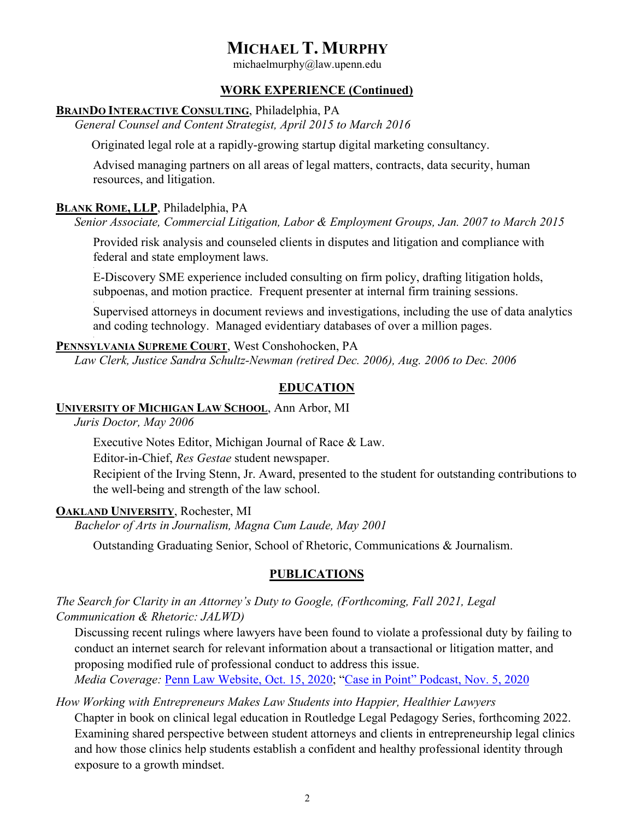michaelmurphy@law.upenn.edu

### **WORK EXPERIENCE (Continued)**

#### **BRAINDO INTERACTIVE CONSULTING**, Philadelphia, PA

*General Counsel and Content Strategist, April 2015 to March 2016*

Originated legal role at a rapidly-growing startup digital marketing consultancy.

Advised managing partners on all areas of legal matters, contracts, data security, human resources, and litigation.

#### **BLANK ROME, LLP**, Philadelphia, PA

*Senior Associate, Commercial Litigation, Labor & Employment Groups, Jan. 2007 to March 2015*

Provided risk analysis and counseled clients in disputes and litigation and compliance with federal and state employment laws.

E-Discovery SME experience included consulting on firm policy, drafting litigation holds, subpoenas, and motion practice. Frequent presenter at internal firm training sessions. .

Supervised attorneys in document reviews and investigations, including the use of data analytics and coding technology. Managed evidentiary databases of over a million pages.

#### **PENNSYLVANIA SUPREME COURT**, West Conshohocken, PA

*Law Clerk, Justice Sandra Schultz-Newman (retired Dec. 2006), Aug. 2006 to Dec. 2006*

## **EDUCATION**

#### **UNIVERSITY OF MICHIGAN LAW SCHOOL**, Ann Arbor, MI

 *Juris Doctor, May 2006*

.

Executive Notes Editor, Michigan Journal of Race & Law.

Editor-in-Chief, *Res Gestae* student newspaper.

Recipient of the Irving Stenn, Jr. Award, presented to the student for outstanding contributions to the well-being and strength of the law school.

#### **OAKLAND UNIVERSITY**, Rochester, MI

*Bachelor of Arts in Journalism, Magna Cum Laude, May 2001*

Outstanding Graduating Senior, School of Rhetoric, Communications & Journalism.

#### **PUBLICATIONS**

*The Search for Clarity in an Attorney's Duty to Google, (Forthcoming, Fall 2021, Legal Communication & Rhetoric: JALWD)*

Discussing recent rulings where lawyers have been found to violate a professional duty by failing to conduct an internet search for relevant information about a transactional or litigation matter, and proposing modified rule of professional conduct to address this issue. *Media Coverage:* [Penn Law Website, Oct. 15, 2020;](https://www.law.upenn.edu/live/news/10582-lecturer-in-law-michael-murphy-advocates-for) "Case in Point" [Podcast, Nov. 5, 2020](https://www.caseinpoint.org/news/caseinpoint.php?id=10666)

*How Working with Entrepreneurs Makes Law Students into Happier, Healthier Lawyers* Chapter in book on clinical legal education in Routledge Legal Pedagogy Series, forthcoming 2022. Examining shared perspective between student attorneys and clients in entrepreneurship legal clinics and how those clinics help students establish a confident and healthy professional identity through exposure to a growth mindset.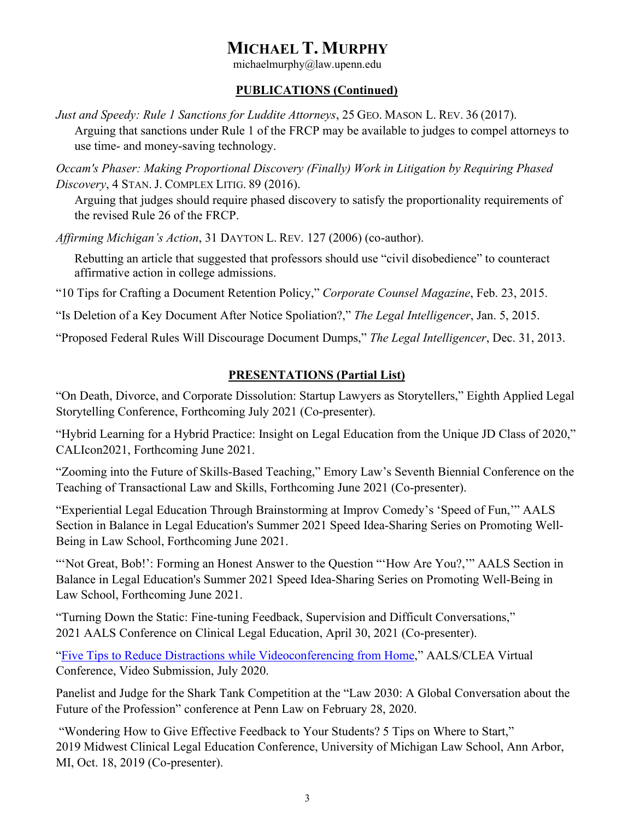michaelmurphy@law.upenn.edu

# **PUBLICATIONS (Continued)**

*Just and Speedy: Rule 1 Sanctions for Luddite Attorneys*, 25 GEO. MASON L. REV. 36 (2017). Arguing that sanctions under Rule 1 of the FRCP may be available to judges to compel attorneys to use time- and money-saving technology.

*Occam's Phaser: Making Proportional Discovery (Finally) Work in Litigation by Requiring Phased Discovery*, 4 STAN. J. COMPLEX LITIG. 89 (2016).

Arguing that judges should require phased discovery to satisfy the proportionality requirements of the revised Rule 26 of the FRCP.

*Affirming Michigan's Action*, 31 DAYTON L. REV. 127 (2006) (co-author).

Rebutting an article that suggested that professors should use "civil disobedience" to counteract affirmative action in college admissions.

"10 Tips for Crafting a Document Retention Policy," *Corporate Counsel Magazine*, Feb. 23, 2015.

"Is Deletion of a Key Document After Notice Spoliation?," *The Legal Intelligencer*, Jan. 5, 2015.

"Proposed Federal Rules Will Discourage Document Dumps," *The Legal Intelligencer*, Dec. 31, 2013.

# **PRESENTATIONS (Partial List)**

"On Death, Divorce, and Corporate Dissolution: Startup Lawyers as Storytellers," Eighth Applied Legal Storytelling Conference, Forthcoming July 2021 (Co-presenter).

"Hybrid Learning for a Hybrid Practice: Insight on Legal Education from the Unique JD Class of 2020," CALIcon2021, Forthcoming June 2021.

"Zooming into the Future of Skills-Based Teaching," Emory Law's Seventh Biennial Conference on the Teaching of Transactional Law and Skills, Forthcoming June 2021 (Co-presenter).

"Experiential Legal Education Through Brainstorming at Improv Comedy's 'Speed of Fun,'" AALS Section in Balance in Legal Education's Summer 2021 Speed Idea-Sharing Series on Promoting Well-Being in Law School, Forthcoming June 2021.

"'Not Great, Bob!': Forming an Honest Answer to the Question "'How Are You?,"' AALS Section in Balance in Legal Education's Summer 2021 Speed Idea-Sharing Series on Promoting Well-Being in Law School, Forthcoming June 2021.

"Turning Down the Static: Fine-tuning Feedback, Supervision and Difficult Conversations," 2021 AALS Conference on Clinical Legal Education, April 30, 2021 (Co-presenter).

["Five Tips to Reduce Distractions while Videoconferencing from Home,](https://padlet.com/kkerew/i6ghlkxfkorn9vr2)" AALS/CLEA Virtual Conference, Video Submission, July 2020.

Panelist and Judge for the Shark Tank Competition at the "Law 2030: A Global Conversation about the Future of the Profession" conference at Penn Law on February 28, 2020.

"Wondering How to Give Effective Feedback to Your Students? 5 Tips on Where to Start," 2019 Midwest Clinical Legal Education Conference, University of Michigan Law School, Ann Arbor, MI, Oct. 18, 2019 (Co-presenter).